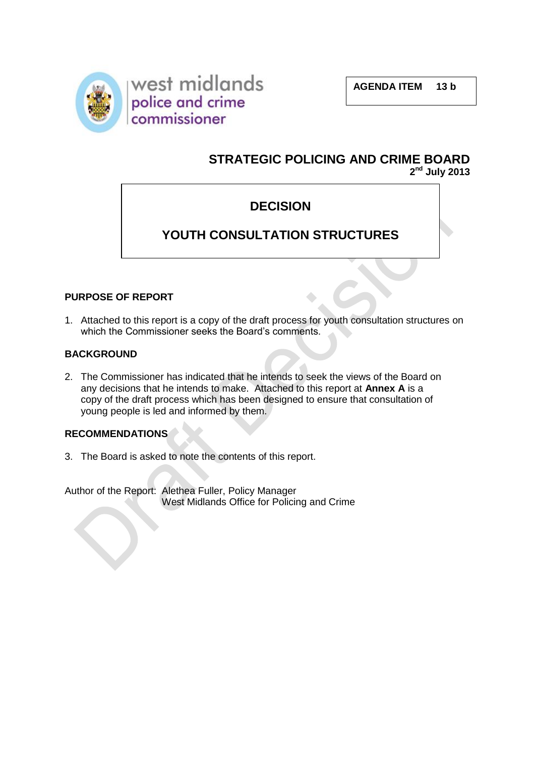



# **STRATEGIC POLICING AND CRIME BOARD 2 nd July 2013**

# **DECISION**

# **YOUTH CONSULTATION STRUCTURES**

## **PURPOSE OF REPORT**

1. Attached to this report is a copy of the draft process for youth consultation structures on which the Commissioner seeks the Board's comments.

#### **BACKGROUND**

2. The Commissioner has indicated that he intends to seek the views of the Board on any decisions that he intends to make. Attached to this report at **Annex A** is a copy of the draft process which has been designed to ensure that consultation of young people is led and informed by them.

## **RECOMMENDATIONS**

3. The Board is asked to note the contents of this report.

Author of the Report: Alethea Fuller, Policy Manager West Midlands Office for Policing and Crime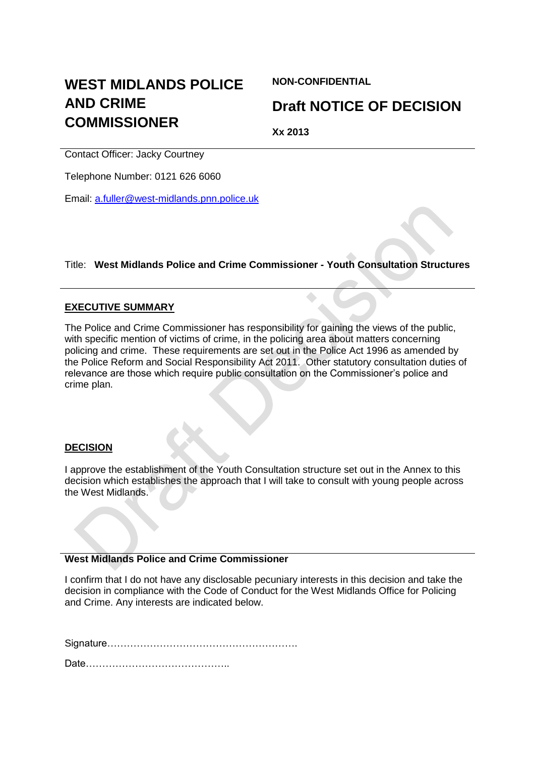# **WEST MIDLANDS POLICE AND CRIME COMMISSIONER**

**NON-CONFIDENTIAL**

# **Draft NOTICE OF DECISION**

**Xx 2013**

Contact Officer: Jacky Courtney

Telephone Number: 0121 626 6060

Email: [a.fuller@west-midlands.pnn.police.uk](mailto:a.fuller@west-midlands.pnn.police.uk)

## Title: **West Midlands Police and Crime Commissioner - Youth Consultation Structures**

 $\triangle$ 

#### **EXECUTIVE SUMMARY**

The Police and Crime Commissioner has responsibility for gaining the views of the public, with specific mention of victims of crime, in the policing area about matters concerning policing and crime. These requirements are set out in the Police Act 1996 as amended by the Police Reform and Social Responsibility Act 2011. Other statutory consultation duties of relevance are those which require public consultation on the Commissioner's police and crime plan.

#### **DECISION**

I approve the establishment of the Youth Consultation structure set out in the Annex to this decision which establishes the approach that I will take to consult with young people across the West Midlands.

#### **West Midlands Police and Crime Commissioner**

I confirm that I do not have any disclosable pecuniary interests in this decision and take the decision in compliance with the Code of Conduct for the West Midlands Office for Policing and Crime. Any interests are indicated below.

Signature………………………………………………….

Date……………………………………..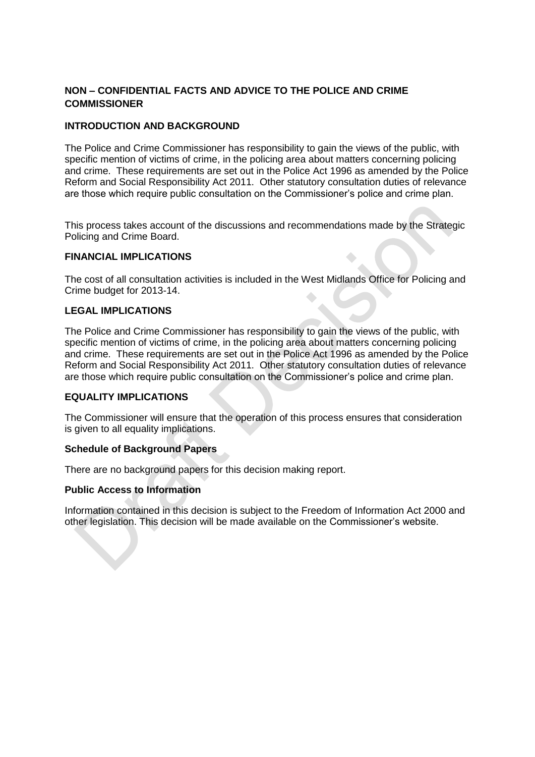## **NON – CONFIDENTIAL FACTS AND ADVICE TO THE POLICE AND CRIME COMMISSIONER**

#### **INTRODUCTION AND BACKGROUND**

The Police and Crime Commissioner has responsibility to gain the views of the public, with specific mention of victims of crime, in the policing area about matters concerning policing and crime. These requirements are set out in the Police Act 1996 as amended by the Police Reform and Social Responsibility Act 2011. Other statutory consultation duties of relevance are those which require public consultation on the Commissioner's police and crime plan.

This process takes account of the discussions and recommendations made by the Strategic Policing and Crime Board.

#### **FINANCIAL IMPLICATIONS**

The cost of all consultation activities is included in the West Midlands Office for Policing and Crime budget for 2013-14.  $\triangle$ 

#### **LEGAL IMPLICATIONS**

The Police and Crime Commissioner has responsibility to gain the views of the public, with specific mention of victims of crime, in the policing area about matters concerning policing and crime. These requirements are set out in the Police Act 1996 as amended by the Police Reform and Social Responsibility Act 2011. Other statutory consultation duties of relevance are those which require public consultation on the Commissioner's police and crime plan.

#### **EQUALITY IMPLICATIONS**

The Commissioner will ensure that the operation of this process ensures that consideration is given to all equality implications.

#### **Schedule of Background Papers**

There are no background papers for this decision making report.

#### **Public Access to Information**

Information contained in this decision is subject to the Freedom of Information Act 2000 and other legislation. This decision will be made available on the Commissioner's website.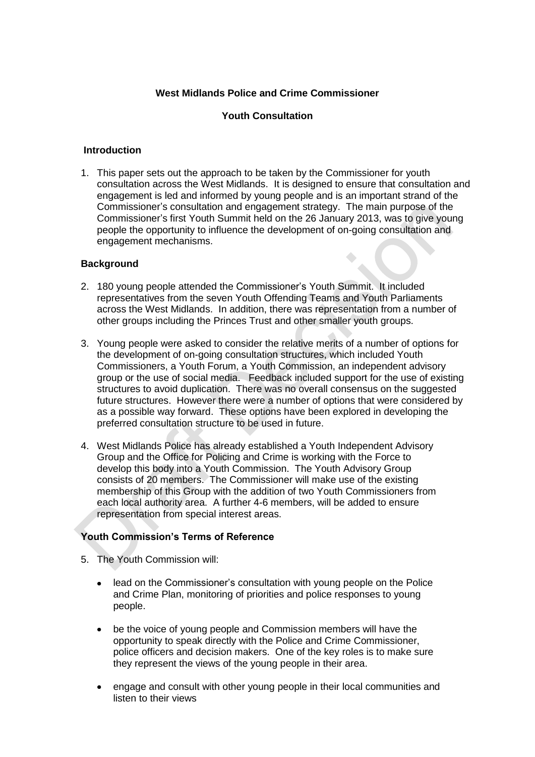#### **West Midlands Police and Crime Commissioner**

#### **Youth Consultation**

#### **Introduction**

1. This paper sets out the approach to be taken by the Commissioner for youth consultation across the West Midlands. It is designed to ensure that consultation and engagement is led and informed by young people and is an important strand of the Commissioner's consultation and engagement strategy. The main purpose of the Commissioner's first Youth Summit held on the 26 January 2013, was to give young people the opportunity to influence the development of on-going consultation and engagement mechanisms.

#### **Background**

- 2. 180 young people attended the Commissioner's Youth Summit. It included representatives from the seven Youth Offending Teams and Youth Parliaments across the West Midlands. In addition, there was representation from a number of other groups including the Princes Trust and other smaller youth groups.
- 3. Young people were asked to consider the relative merits of a number of options for the development of on-going consultation structures, which included Youth Commissioners, a Youth Forum, a Youth Commission, an independent advisory group or the use of social media. Feedback included support for the use of existing structures to avoid duplication. There was no overall consensus on the suggested future structures. However there were a number of options that were considered by as a possible way forward. These options have been explored in developing the preferred consultation structure to be used in future.
- 4. West Midlands Police has already established a Youth Independent Advisory Group and the Office for Policing and Crime is working with the Force to develop this body into a Youth Commission. The Youth Advisory Group consists of 20 members. The Commissioner will make use of the existing membership of this Group with the addition of two Youth Commissioners from each local authority area. A further 4-6 members, will be added to ensure representation from special interest areas.

#### **Youth Commission's Terms of Reference**

- 5. The Youth Commission will:
	- $\bullet$ lead on the Commissioner's consultation with young people on the Police and Crime Plan, monitoring of priorities and police responses to young people.
	- be the voice of young people and Commission members will have the opportunity to speak directly with the Police and Crime Commissioner, police officers and decision makers. One of the key roles is to make sure they represent the views of the young people in their area.
	- engage and consult with other young people in their local communities and listen to their views